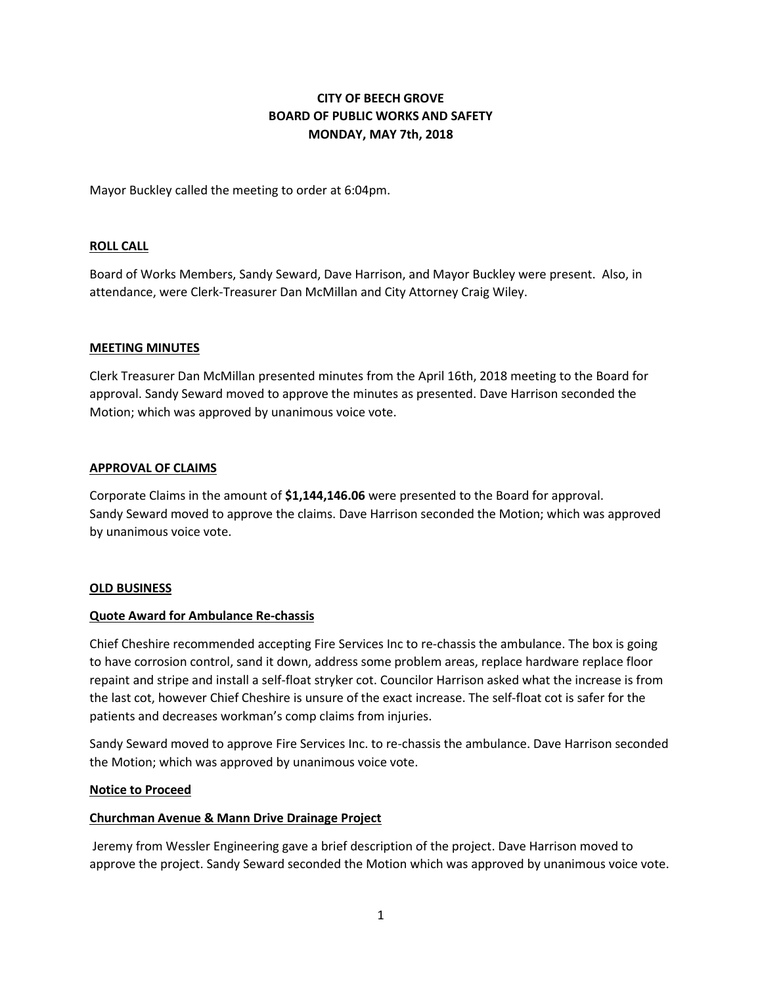# **CITY OF BEECH GROVE BOARD OF PUBLIC WORKS AND SAFETY MONDAY, MAY 7th, 2018**

Mayor Buckley called the meeting to order at 6:04pm.

# **ROLL CALL**

Board of Works Members, Sandy Seward, Dave Harrison, and Mayor Buckley were present. Also, in attendance, were Clerk-Treasurer Dan McMillan and City Attorney Craig Wiley.

#### **MEETING MINUTES**

Clerk Treasurer Dan McMillan presented minutes from the April 16th, 2018 meeting to the Board for approval. Sandy Seward moved to approve the minutes as presented. Dave Harrison seconded the Motion; which was approved by unanimous voice vote.

#### **APPROVAL OF CLAIMS**

Corporate Claims in the amount of **\$1,144,146.06** were presented to the Board for approval. Sandy Seward moved to approve the claims. Dave Harrison seconded the Motion; which was approved by unanimous voice vote.

#### **OLD BUSINESS**

#### **Quote Award for Ambulance Re-chassis**

Chief Cheshire recommended accepting Fire Services Inc to re-chassis the ambulance. The box is going to have corrosion control, sand it down, address some problem areas, replace hardware replace floor repaint and stripe and install a self-float stryker cot. Councilor Harrison asked what the increase is from the last cot, however Chief Cheshire is unsure of the exact increase. The self-float cot is safer for the patients and decreases workman's comp claims from injuries.

Sandy Seward moved to approve Fire Services Inc. to re-chassis the ambulance. Dave Harrison seconded the Motion; which was approved by unanimous voice vote.

#### **Notice to Proceed**

#### **Churchman Avenue & Mann Drive Drainage Project**

Jeremy from Wessler Engineering gave a brief description of the project. Dave Harrison moved to approve the project. Sandy Seward seconded the Motion which was approved by unanimous voice vote.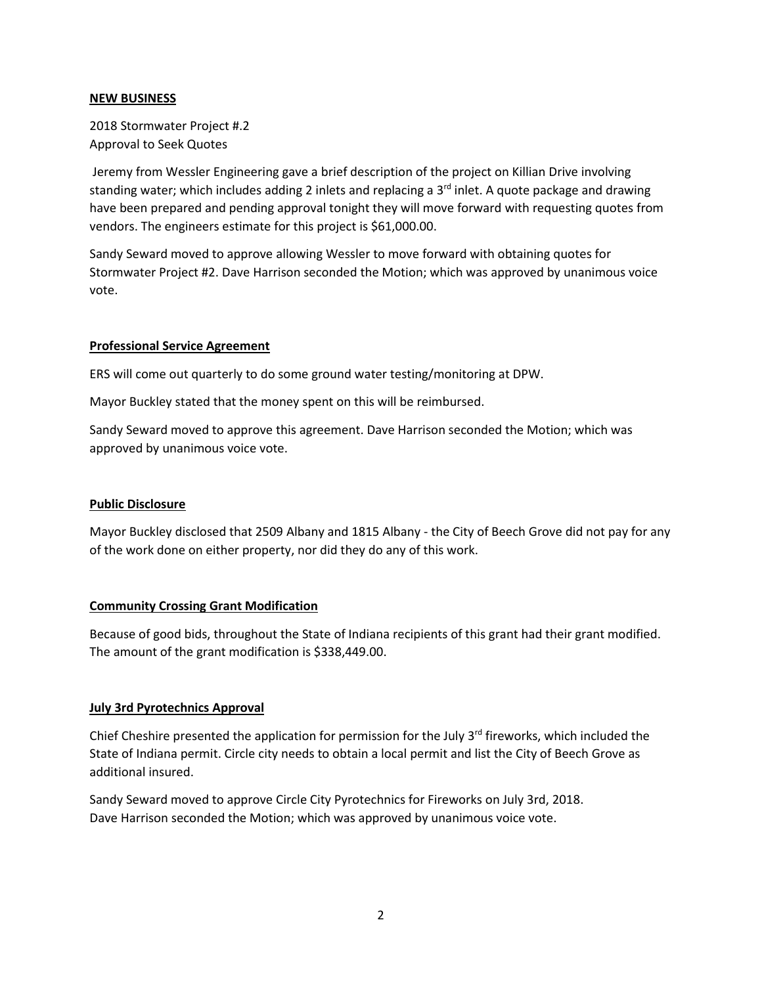#### **NEW BUSINESS**

2018 Stormwater Project #.2 Approval to Seek Quotes

Jeremy from Wessler Engineering gave a brief description of the project on Killian Drive involving standing water; which includes adding 2 inlets and replacing a 3<sup>rd</sup> inlet. A quote package and drawing have been prepared and pending approval tonight they will move forward with requesting quotes from vendors. The engineers estimate for this project is \$61,000.00.

Sandy Seward moved to approve allowing Wessler to move forward with obtaining quotes for Stormwater Project #2. Dave Harrison seconded the Motion; which was approved by unanimous voice vote.

# **Professional Service Agreement**

ERS will come out quarterly to do some ground water testing/monitoring at DPW.

Mayor Buckley stated that the money spent on this will be reimbursed.

Sandy Seward moved to approve this agreement. Dave Harrison seconded the Motion; which was approved by unanimous voice vote.

# **Public Disclosure**

Mayor Buckley disclosed that 2509 Albany and 1815 Albany - the City of Beech Grove did not pay for any of the work done on either property, nor did they do any of this work.

# **Community Crossing Grant Modification**

Because of good bids, throughout the State of Indiana recipients of this grant had their grant modified. The amount of the grant modification is \$338,449.00.

#### **July 3rd Pyrotechnics Approval**

Chief Cheshire presented the application for permission for the July 3<sup>rd</sup> fireworks, which included the State of Indiana permit. Circle city needs to obtain a local permit and list the City of Beech Grove as additional insured.

Sandy Seward moved to approve Circle City Pyrotechnics for Fireworks on July 3rd, 2018. Dave Harrison seconded the Motion; which was approved by unanimous voice vote.